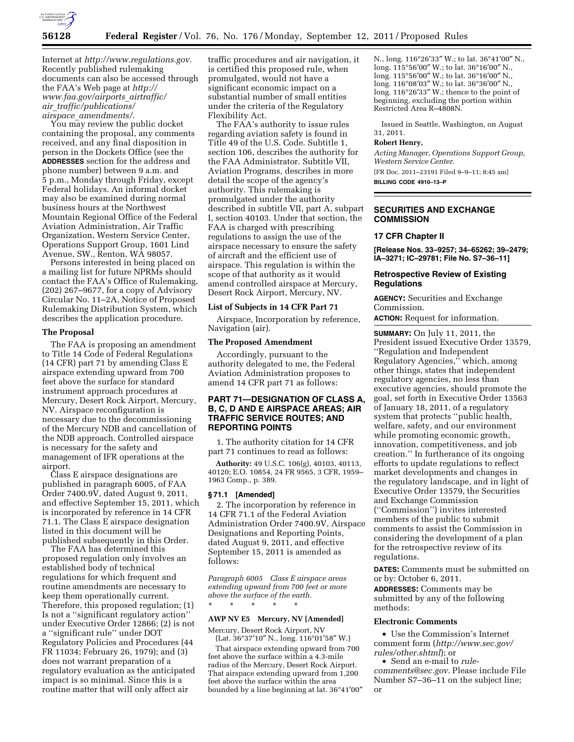

Internet at *[http://www.regulations.gov.](http://www.regulations.gov)*  Recently published rulemaking documents can also be accessed through the FAA's Web page at *[http://](http://www.faa.gov/airports_airtraffic/air_traffic/publications/airspace_amendments/)  [www.faa.gov/airports](http://www.faa.gov/airports_airtraffic/air_traffic/publications/airspace_amendments/)*\_*airtraffic/ air*\_*[traffic/publications/](http://www.faa.gov/airports_airtraffic/air_traffic/publications/airspace_amendments/) airspace*\_*[amendments/.](http://www.faa.gov/airports_airtraffic/air_traffic/publications/airspace_amendments/)* 

You may review the public docket containing the proposal, any comments received, and any final disposition in person in the Dockets Office (see the **ADDRESSES** section for the address and phone number) between 9 a.m. and 5 p.m., Monday through Friday, except Federal holidays. An informal docket may also be examined during normal business hours at the Northwest Mountain Regional Office of the Federal Aviation Administration, Air Traffic Organization, Western Service Center, Operations Support Group, 1601 Lind Avenue, SW., Renton, WA 98057.

Persons interested in being placed on a mailing list for future NPRMs should contact the FAA's Office of Rulemaking, (202) 267–9677, for a copy of Advisory Circular No. 11–2A, Notice of Proposed Rulemaking Distribution System, which describes the application procedure.

#### **The Proposal**

The FAA is proposing an amendment to Title 14 Code of Federal Regulations (14 CFR) part 71 by amending Class E airspace extending upward from 700 feet above the surface for standard instrument approach procedures at Mercury, Desert Rock Airport, Mercury, NV. Airspace reconfiguration is necessary due to the decommissioning of the Mercury NDB and cancellation of the NDB approach. Controlled airspace is necessary for the safety and management of IFR operations at the airport.

Class E airspace designations are published in paragraph 6005, of FAA Order 7400.9V, dated August 9, 2011, and effective September 15, 2011, which is incorporated by reference in 14 CFR 71.1. The Class E airspace designation listed in this document will be published subsequently in this Order.

The FAA has determined this proposed regulation only involves an established body of technical regulations for which frequent and routine amendments are necessary to keep them operationally current. Therefore, this proposed regulation; (1) Is not a ''significant regulatory action'' under Executive Order 12866; (2) is not a ''significant rule'' under DOT Regulatory Policies and Procedures (44 FR 11034; February 26, 1979); and (3) does not warrant preparation of a regulatory evaluation as the anticipated impact is so minimal. Since this is a routine matter that will only affect air

traffic procedures and air navigation, it is certified this proposed rule, when promulgated, would not have a significant economic impact on a substantial number of small entities under the criteria of the Regulatory Flexibility Act.

The FAA's authority to issue rules regarding aviation safety is found in Title 49 of the U.S. Code. Subtitle 1, section 106, describes the authority for the FAA Administrator. Subtitle VII, Aviation Programs, describes in more detail the scope of the agency's authority. This rulemaking is promulgated under the authority described in subtitle VII, part A, subpart I, section 40103. Under that section, the FAA is charged with prescribing regulations to assign the use of the airspace necessary to ensure the safety of aircraft and the efficient use of airspace. This regulation is within the scope of that authority as it would amend controlled airspace at Mercury, Desert Rock Airport, Mercury, NV.

### **List of Subjects in 14 CFR Part 71**

Airspace, Incorporation by reference, Navigation (air).

#### **The Proposed Amendment**

Accordingly, pursuant to the authority delegated to me, the Federal Aviation Administration proposes to amend 14 CFR part 71 as follows:

# **PART 71—DESIGNATION OF CLASS A, B, C, D AND E AIRSPACE AREAS; AIR TRAFFIC SERVICE ROUTES; AND REPORTING POINTS**

1. The authority citation for 14 CFR part 71 continues to read as follows:

**Authority:** 49 U.S.C. 106(g), 40103, 40113, 40120; E.O. 10854, 24 FR 9565, 3 CFR, 1959– 1963 Comp., p. 389.

### **§ 71.1 [Amended]**

2. The incorporation by reference in 14 CFR 71.1 of the Federal Aviation Administration Order 7400.9V, Airspace Designations and Reporting Points, dated August 9, 2011, and effective September 15, 2011 is amended as follows:

*Paragraph 6005 Class E airspace areas extending upward from 700 feet or more above the surface of the earth.*  \* \* \* \* \*

### **AWP NV E5 Mercury, NV [Amended]**

Mercury, Desert Rock Airport, NV (Lat. 36°37′10″ N., long. 116°01′58″ W.)

That airspace extending upward from 700 feet above the surface within a 4.3-mile radius of the Mercury, Desert Rock Airport. That airspace extending upward from 1,200 feet above the surface within the area bounded by a line beginning at lat. 36°41′00″

N., long. 116°26′33″ W.; to lat. 36°41′00″ N., long. 115°56′00″ W.; to lat. 36°16′00″ N., long. 115°56′00″ W.; to lat. 36°16′00″ N., long. 116°08′03″ W.; to lat. 36°36′00″ N., long. 116°26′33″ W.; thence to the point of beginning, excluding the portion within Restricted Area R–4808N.

Issued in Seattle, Washington, on August 31, 2011.

### **Robert Henry,**

*Acting Manager, Operations Support Group, Western Service Center.*  [FR Doc. 2011–23191 Filed 9–9–11; 8:45 am]

**BILLING CODE 4910–13–P** 

# **SECURITIES AND EXCHANGE COMMISSION**

# **17 CFR Chapter II**

**[Release Nos. 33–9257; 34–65262; 39–2479; IA–3271; IC–29781; File No. S7–36–11]** 

## **Retrospective Review of Existing Regulations**

**AGENCY:** Securities and Exchange Commission.

**ACTION:** Request for information.

**SUMMARY:** On July 11, 2011, the President issued Executive Order 13579, ''Regulation and Independent Regulatory Agencies,'' which, among other things, states that independent regulatory agencies, no less than executive agencies, should promote the goal, set forth in Executive Order 13563 of January 18, 2011, of a regulatory system that protects ''public health, welfare, safety, and our environment while promoting economic growth, innovation, competitiveness, and job creation.'' In furtherance of its ongoing efforts to update regulations to reflect market developments and changes in the regulatory landscape, and in light of Executive Order 13579, the Securities and Exchange Commission (''Commission'') invites interested members of the public to submit comments to assist the Commission in considering the development of a plan for the retrospective review of its regulations.

**DATES:** Comments must be submitted on or by: October 6, 2011.

**ADDRESSES:** Comments may be submitted by any of the following methods:

### **Electronic Comments**

• Use the Commission's Internet comment form (*[http://www.sec.gov/](http://www.sec.gov/rules/other.shtml)  [rules/other.shtml](http://www.sec.gov/rules/other.shtml)*); or

• Send an e-mail to *[rule](mailto:rule-comments@sec.gov)[comments@sec.gov.](mailto:rule-comments@sec.gov)* Please include File Number S7–36–11 on the subject line; or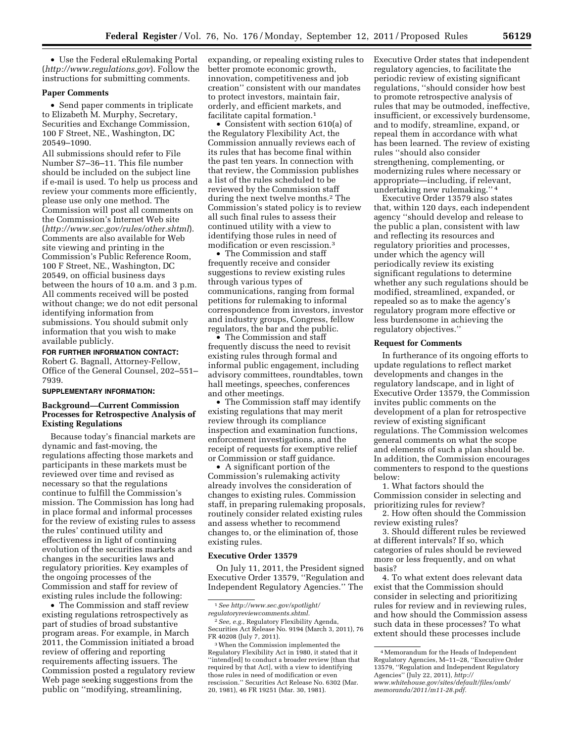• Use the Federal eRulemaking Portal (*<http://www.regulations.gov>*). Follow the instructions for submitting comments.

#### **Paper Comments**

• Send paper comments in triplicate to Elizabeth M. Murphy, Secretary, Securities and Exchange Commission, 100 F Street, NE., Washington, DC 20549–1090.

All submissions should refer to File Number S7–36–11. This file number should be included on the subject line if e-mail is used. To help us process and review your comments more efficiently, please use only one method. The Commission will post all comments on the Commission's Internet Web site (*<http://www.sec.gov/rules/other.shtml>*). Comments are also available for Web site viewing and printing in the Commission's Public Reference Room, 100 F Street, NE., Washington, DC 20549, on official business days between the hours of 10 a.m. and 3 p.m. All comments received will be posted without change; we do not edit personal identifying information from submissions. You should submit only information that you wish to make available publicly.

#### **FOR FURTHER INFORMATION CONTACT:**

Robert G. Bagnall, Attorney-Fellow, Office of the General Counsel, 202–551– 7939.

### **SUPPLEMENTARY INFORMATION:**

## **Background—Current Commission Processes for Retrospective Analysis of Existing Regulations**

Because today's financial markets are dynamic and fast-moving, the regulations affecting those markets and participants in these markets must be reviewed over time and revised as necessary so that the regulations continue to fulfill the Commission's mission. The Commission has long had in place formal and informal processes for the review of existing rules to assess the rules' continued utility and effectiveness in light of continuing evolution of the securities markets and changes in the securities laws and regulatory priorities. Key examples of the ongoing processes of the Commission and staff for review of existing rules include the following:

• The Commission and staff review existing regulations retrospectively as part of studies of broad substantive program areas. For example, in March 2011, the Commission initiated a broad review of offering and reporting requirements affecting issuers. The Commission posted a regulatory review Web page seeking suggestions from the public on ''modifying, streamlining,

expanding, or repealing existing rules to better promote economic growth, innovation, competitiveness and job creation'' consistent with our mandates to protect investors, maintain fair, orderly, and efficient markets, and facilitate capital formation.<sup>1</sup>

• Consistent with section 610(a) of the Regulatory Flexibility Act, the Commission annually reviews each of its rules that has become final within the past ten years. In connection with that review, the Commission publishes a list of the rules scheduled to be reviewed by the Commission staff during the next twelve months.2 The Commission's stated policy is to review all such final rules to assess their continued utility with a view to identifying those rules in need of modification or even rescission.3

• The Commission and staff frequently receive and consider suggestions to review existing rules through various types of communications, ranging from formal petitions for rulemaking to informal correspondence from investors, investor and industry groups, Congress, fellow regulators, the bar and the public.

• The Commission and staff frequently discuss the need to revisit existing rules through formal and informal public engagement, including advisory committees, roundtables, town hall meetings, speeches, conferences and other meetings.

• The Commission staff may identify existing regulations that may merit review through its compliance inspection and examination functions, enforcement investigations, and the receipt of requests for exemptive relief or Commission or staff guidance.

• A significant portion of the Commission's rulemaking activity already involves the consideration of changes to existing rules. Commission staff, in preparing rulemaking proposals, routinely consider related existing rules and assess whether to recommend changes to, or the elimination of, those existing rules.

#### **Executive Order 13579**

On July 11, 2011, the President signed Executive Order 13579, ''Regulation and Independent Regulatory Agencies.'' The

Executive Order states that independent regulatory agencies, to facilitate the periodic review of existing significant regulations, ''should consider how best to promote retrospective analysis of rules that may be outmoded, ineffective, insufficient, or excessively burdensome, and to modify, streamline, expand, or repeal them in accordance with what has been learned. The review of existing rules ''should also consider strengthening, complementing, or modernizing rules where necessary or appropriate—including, if relevant, undertaking new rulemaking.'' 4

Executive Order 13579 also states that, within 120 days, each independent agency ''should develop and release to the public a plan, consistent with law and reflecting its resources and regulatory priorities and processes, under which the agency will periodically review its existing significant regulations to determine whether any such regulations should be modified, streamlined, expanded, or repealed so as to make the agency's regulatory program more effective or less burdensome in achieving the regulatory objectives.''

## **Request for Comments**

In furtherance of its ongoing efforts to update regulations to reflect market developments and changes in the regulatory landscape, and in light of Executive Order 13579, the Commission invites public comments on the development of a plan for retrospective review of existing significant regulations. The Commission welcomes general comments on what the scope and elements of such a plan should be. In addition, the Commission encourages commenters to respond to the questions below:

1. What factors should the Commission consider in selecting and prioritizing rules for review?

2. How often should the Commission review existing rules?

3. Should different rules be reviewed at different intervals? If so, which categories of rules should be reviewed more or less frequently, and on what basis?

4. To what extent does relevant data exist that the Commission should consider in selecting and prioritizing rules for review and in reviewing rules, and how should the Commission assess such data in these processes? To what extent should these processes include

<sup>1</sup>*See [http://www.sec.gov/spotlight/](http://www.sec.gov/spotlight/regulatoryreviewcomments.shtml)  [regulatoryreviewcomments.shtml.](http://www.sec.gov/spotlight/regulatoryreviewcomments.shtml)* 

<sup>2</sup>*See, e.g.,* Regulatory Flexibility Agenda, Securities Act Release No. 9194 (March 3, 2011), 76 FR 40208 (July 7, 2011).

<sup>3</sup>When the Commission implemented the Regulatory Flexibility Act in 1980, it stated that it ''intend[ed] to conduct a broader review [than that required by that Act], with a view to identifying those rules in need of modification or even rescission.'' Securities Act Release No. 6302 (Mar. 20, 1981), 46 FR 19251 (Mar. 30, 1981).

<sup>4</sup>Memorandum for the Heads of Independent Regulatory Agencies, M–11–28, ''Executive Order 13579, ''Regulation and Independent Regulatory Agencies'' (July 22, 2011), *[http://](http://www.whitehouse.gov/sites/default/files/omb/memoranda/2011/m11-28.pdf) [www.whitehouse.gov/sites/default/files/omb/](http://www.whitehouse.gov/sites/default/files/omb/memoranda/2011/m11-28.pdf)  [memoranda/2011/m11-28.pdf.](http://www.whitehouse.gov/sites/default/files/omb/memoranda/2011/m11-28.pdf)*